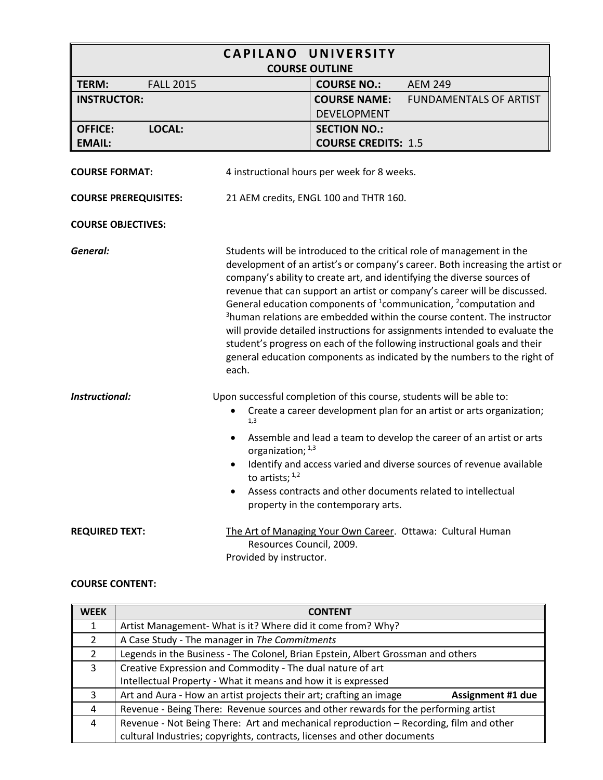| <b>CAPILANO</b><br>UNIVERSITY<br><b>COURSE OUTLINE</b> |                                                     |                                             |                                                                                                                                                                                                                                                                                                                                                                                                                                                                                                                                                                                                                                                                                                                                           |
|--------------------------------------------------------|-----------------------------------------------------|---------------------------------------------|-------------------------------------------------------------------------------------------------------------------------------------------------------------------------------------------------------------------------------------------------------------------------------------------------------------------------------------------------------------------------------------------------------------------------------------------------------------------------------------------------------------------------------------------------------------------------------------------------------------------------------------------------------------------------------------------------------------------------------------------|
| TERM:<br><b>FALL 2015</b>                              |                                                     | <b>COURSE NO.:</b>                          | <b>AEM 249</b>                                                                                                                                                                                                                                                                                                                                                                                                                                                                                                                                                                                                                                                                                                                            |
| <b>INSTRUCTOR:</b>                                     |                                                     | <b>COURSE NAME:</b><br><b>DEVELOPMENT</b>   | <b>FUNDAMENTALS OF ARTIST</b>                                                                                                                                                                                                                                                                                                                                                                                                                                                                                                                                                                                                                                                                                                             |
| LOCAL:<br><b>OFFICE:</b>                               |                                                     | <b>SECTION NO.:</b>                         |                                                                                                                                                                                                                                                                                                                                                                                                                                                                                                                                                                                                                                                                                                                                           |
| <b>EMAIL:</b>                                          |                                                     | <b>COURSE CREDITS: 1.5</b>                  |                                                                                                                                                                                                                                                                                                                                                                                                                                                                                                                                                                                                                                                                                                                                           |
| <b>COURSE FORMAT:</b>                                  |                                                     | 4 instructional hours per week for 8 weeks. |                                                                                                                                                                                                                                                                                                                                                                                                                                                                                                                                                                                                                                                                                                                                           |
| <b>COURSE PREREQUISITES:</b>                           |                                                     | 21 AEM credits, ENGL 100 and THTR 160.      |                                                                                                                                                                                                                                                                                                                                                                                                                                                                                                                                                                                                                                                                                                                                           |
| <b>COURSE OBJECTIVES:</b>                              |                                                     |                                             |                                                                                                                                                                                                                                                                                                                                                                                                                                                                                                                                                                                                                                                                                                                                           |
| General:                                               | each.                                               |                                             | Students will be introduced to the critical role of management in the<br>development of an artist's or company's career. Both increasing the artist or<br>company's ability to create art, and identifying the diverse sources of<br>revenue that can support an artist or company's career will be discussed.<br>General education components of <sup>1</sup> communication, <sup>2</sup> computation and<br><sup>3</sup> human relations are embedded within the course content. The instructor<br>will provide detailed instructions for assignments intended to evaluate the<br>student's progress on each of the following instructional goals and their<br>general education components as indicated by the numbers to the right of |
| <b>Instructional:</b>                                  | 1,3<br>organization; 1,3<br>to artists; $1,2$       | property in the contemporary arts.          | Upon successful completion of this course, students will be able to:<br>Create a career development plan for an artist or arts organization;<br>Assemble and lead a team to develop the career of an artist or arts<br>Identify and access varied and diverse sources of revenue available<br>Assess contracts and other documents related to intellectual                                                                                                                                                                                                                                                                                                                                                                                |
| <b>REQUIRED TEXT:</b>                                  | Resources Council, 2009.<br>Provided by instructor. |                                             | The Art of Managing Your Own Career. Ottawa: Cultural Human                                                                                                                                                                                                                                                                                                                                                                                                                                                                                                                                                                                                                                                                               |

#### **COURSE CONTENT:**

| <b>WEEK</b>    | <b>CONTENT</b>                                                                                 |
|----------------|------------------------------------------------------------------------------------------------|
|                | Artist Management- What is it? Where did it come from? Why?                                    |
| 2              | A Case Study - The manager in The Commitments                                                  |
| $\overline{2}$ | Legends in the Business - The Colonel, Brian Epstein, Albert Grossman and others               |
| 3              | Creative Expression and Commodity - The dual nature of art                                     |
|                | Intellectual Property - What it means and how it is expressed                                  |
| 3              | Art and Aura - How an artist projects their art; crafting an image<br><b>Assignment #1 due</b> |
| 4              | Revenue - Being There: Revenue sources and other rewards for the performing artist             |
| 4              | Revenue - Not Being There: Art and mechanical reproduction - Recording, film and other         |
|                | cultural Industries; copyrights, contracts, licenses and other documents                       |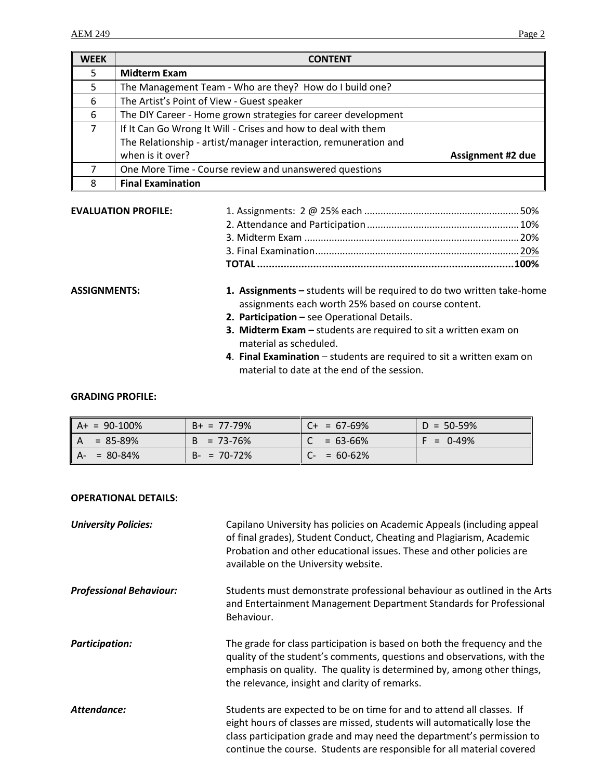| <b>WEEK</b> | <b>CONTENT</b>                                                  |                          |
|-------------|-----------------------------------------------------------------|--------------------------|
| 5           | <b>Midterm Exam</b>                                             |                          |
| 5.          | The Management Team - Who are they? How do I build one?         |                          |
| 6           | The Artist's Point of View - Guest speaker                      |                          |
| 6           | The DIY Career - Home grown strategies for career development   |                          |
| 7           | If It Can Go Wrong It Will - Crises and how to deal with them   |                          |
|             | The Relationship - artist/manager interaction, remuneration and |                          |
|             | when is it over?                                                | <b>Assignment #2 due</b> |
|             | One More Time - Course review and unanswered questions          |                          |
| 8           | <b>Final Examination</b>                                        |                          |
|             |                                                                 |                          |

#### **EVALUATION PROFILE:**

- **ASSIGNMENTS: 1. Assignments –** students will be required to do two written take-home assignments each worth 25% based on course content.
	- **2. Participation –** see Operational Details.
	- **3. Midterm Exam –** students are required to sit a written exam on material as scheduled.
	- **4**. **Final Examination** students are required to sit a written exam on material to date at the end of the session.

### **GRADING PROFILE:**

| $A+ = 90-100%$      | $B+ = 77-79%$       | $C_{+}$ = 67-69%              | $D = 50 - 59%$        |
|---------------------|---------------------|-------------------------------|-----------------------|
| $= 85 - 89%$<br>IA. | $= 73 - 76\%$<br>B. | $= 63 - 66%$                  | $\frac{1}{2}$ = 0-49% |
| II A-<br>= 80-84%   | $B - = 70 - 72\%$   | $= 60 - 62\%$<br>$\mathsf{C}$ |                       |

#### **OPERATIONAL DETAILS:**

| <b>University Policies:</b>    | Capilano University has policies on Academic Appeals (including appeal<br>of final grades), Student Conduct, Cheating and Plagiarism, Academic<br>Probation and other educational issues. These and other policies are<br>available on the University website.                                      |
|--------------------------------|-----------------------------------------------------------------------------------------------------------------------------------------------------------------------------------------------------------------------------------------------------------------------------------------------------|
| <b>Professional Behaviour:</b> | Students must demonstrate professional behaviour as outlined in the Arts<br>and Entertainment Management Department Standards for Professional<br>Behaviour.                                                                                                                                        |
| <b>Participation:</b>          | The grade for class participation is based on both the frequency and the<br>quality of the student's comments, questions and observations, with the<br>emphasis on quality. The quality is determined by, among other things,<br>the relevance, insight and clarity of remarks.                     |
| Attendance:                    | Students are expected to be on time for and to attend all classes. If<br>eight hours of classes are missed, students will automatically lose the<br>class participation grade and may need the department's permission to<br>continue the course. Students are responsible for all material covered |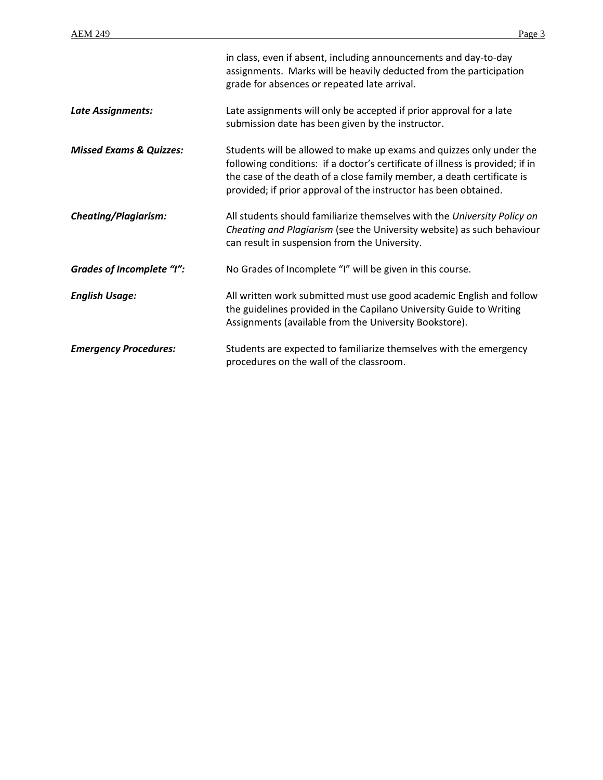|                                    | in class, even if absent, including announcements and day-to-day<br>assignments. Marks will be heavily deducted from the participation<br>grade for absences or repeated late arrival.                                                                                                              |
|------------------------------------|-----------------------------------------------------------------------------------------------------------------------------------------------------------------------------------------------------------------------------------------------------------------------------------------------------|
| Late Assignments:                  | Late assignments will only be accepted if prior approval for a late<br>submission date has been given by the instructor.                                                                                                                                                                            |
| <b>Missed Exams &amp; Quizzes:</b> | Students will be allowed to make up exams and quizzes only under the<br>following conditions: if a doctor's certificate of illness is provided; if in<br>the case of the death of a close family member, a death certificate is<br>provided; if prior approval of the instructor has been obtained. |
| <b>Cheating/Plagiarism:</b>        | All students should familiarize themselves with the University Policy on<br>Cheating and Plagiarism (see the University website) as such behaviour<br>can result in suspension from the University.                                                                                                 |
| <b>Grades of Incomplete "I":</b>   | No Grades of Incomplete "I" will be given in this course.                                                                                                                                                                                                                                           |
| <b>English Usage:</b>              | All written work submitted must use good academic English and follow<br>the guidelines provided in the Capilano University Guide to Writing<br>Assignments (available from the University Bookstore).                                                                                               |
| <b>Emergency Procedures:</b>       | Students are expected to familiarize themselves with the emergency<br>procedures on the wall of the classroom.                                                                                                                                                                                      |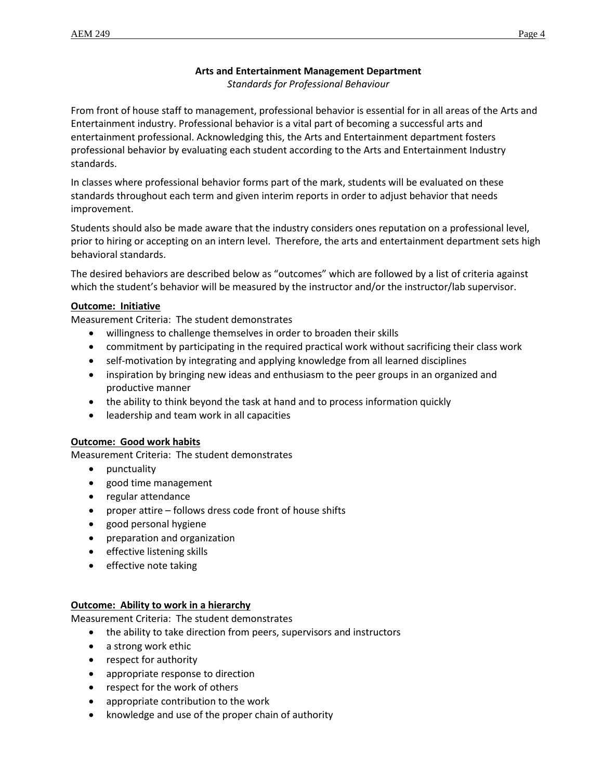# **Arts and Entertainment Management Department**

*Standards for Professional Behaviour*

From front of house staff to management, professional behavior is essential for in all areas of the Arts and Entertainment industry. Professional behavior is a vital part of becoming a successful arts and entertainment professional. Acknowledging this, the Arts and Entertainment department fosters professional behavior by evaluating each student according to the Arts and Entertainment Industry standards.

In classes where professional behavior forms part of the mark, students will be evaluated on these standards throughout each term and given interim reports in order to adjust behavior that needs improvement.

Students should also be made aware that the industry considers ones reputation on a professional level, prior to hiring or accepting on an intern level. Therefore, the arts and entertainment department sets high behavioral standards.

The desired behaviors are described below as "outcomes" which are followed by a list of criteria against which the student's behavior will be measured by the instructor and/or the instructor/lab supervisor.

# **Outcome: Initiative**

Measurement Criteria: The student demonstrates

- willingness to challenge themselves in order to broaden their skills
- commitment by participating in the required practical work without sacrificing their class work
- self-motivation by integrating and applying knowledge from all learned disciplines
- inspiration by bringing new ideas and enthusiasm to the peer groups in an organized and productive manner
- the ability to think beyond the task at hand and to process information quickly
- leadership and team work in all capacities

#### **Outcome: Good work habits**

Measurement Criteria: The student demonstrates

- punctuality
- good time management
- regular attendance
- proper attire follows dress code front of house shifts
- good personal hygiene
- preparation and organization
- **•** effective listening skills
- effective note taking

#### **Outcome: Ability to work in a hierarchy**

Measurement Criteria: The student demonstrates

- the ability to take direction from peers, supervisors and instructors
- a strong work ethic
- respect for authority
- appropriate response to direction
- respect for the work of others
- appropriate contribution to the work
- knowledge and use of the proper chain of authority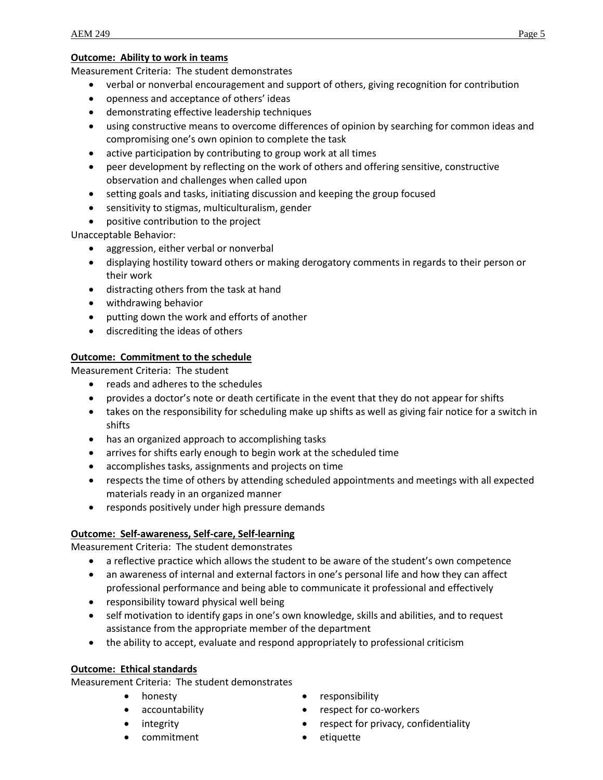### **Outcome: Ability to work in teams**

Measurement Criteria: The student demonstrates

- verbal or nonverbal encouragement and support of others, giving recognition for contribution
- openness and acceptance of others' ideas
- demonstrating effective leadership techniques
- using constructive means to overcome differences of opinion by searching for common ideas and compromising one's own opinion to complete the task
- active participation by contributing to group work at all times
- peer development by reflecting on the work of others and offering sensitive, constructive observation and challenges when called upon
- setting goals and tasks, initiating discussion and keeping the group focused
- sensitivity to stigmas, multiculturalism, gender
- positive contribution to the project

Unacceptable Behavior:

- aggression, either verbal or nonverbal
- displaying hostility toward others or making derogatory comments in regards to their person or their work
- distracting others from the task at hand
- withdrawing behavior
- putting down the work and efforts of another
- discrediting the ideas of others

# **Outcome: Commitment to the schedule**

Measurement Criteria: The student

- reads and adheres to the schedules
- provides a doctor's note or death certificate in the event that they do not appear for shifts
- takes on the responsibility for scheduling make up shifts as well as giving fair notice for a switch in shifts
- has an organized approach to accomplishing tasks
- arrives for shifts early enough to begin work at the scheduled time
- accomplishes tasks, assignments and projects on time
- respects the time of others by attending scheduled appointments and meetings with all expected materials ready in an organized manner
- responds positively under high pressure demands

# **Outcome: Self-awareness, Self-care, Self-learning**

Measurement Criteria: The student demonstrates

- a reflective practice which allows the student to be aware of the student's own competence
- an awareness of internal and external factors in one's personal life and how they can affect professional performance and being able to communicate it professional and effectively
- responsibility toward physical well being
- self motivation to identify gaps in one's own knowledge, skills and abilities, and to request assistance from the appropriate member of the department
- the ability to accept, evaluate and respond appropriately to professional criticism

# **Outcome: Ethical standards**

Measurement Criteria: The student demonstrates

- honesty
- accountability
- integrity
- commitment
- responsibility
- respect for co-workers
- respect for privacy, confidentiality
- etiquette